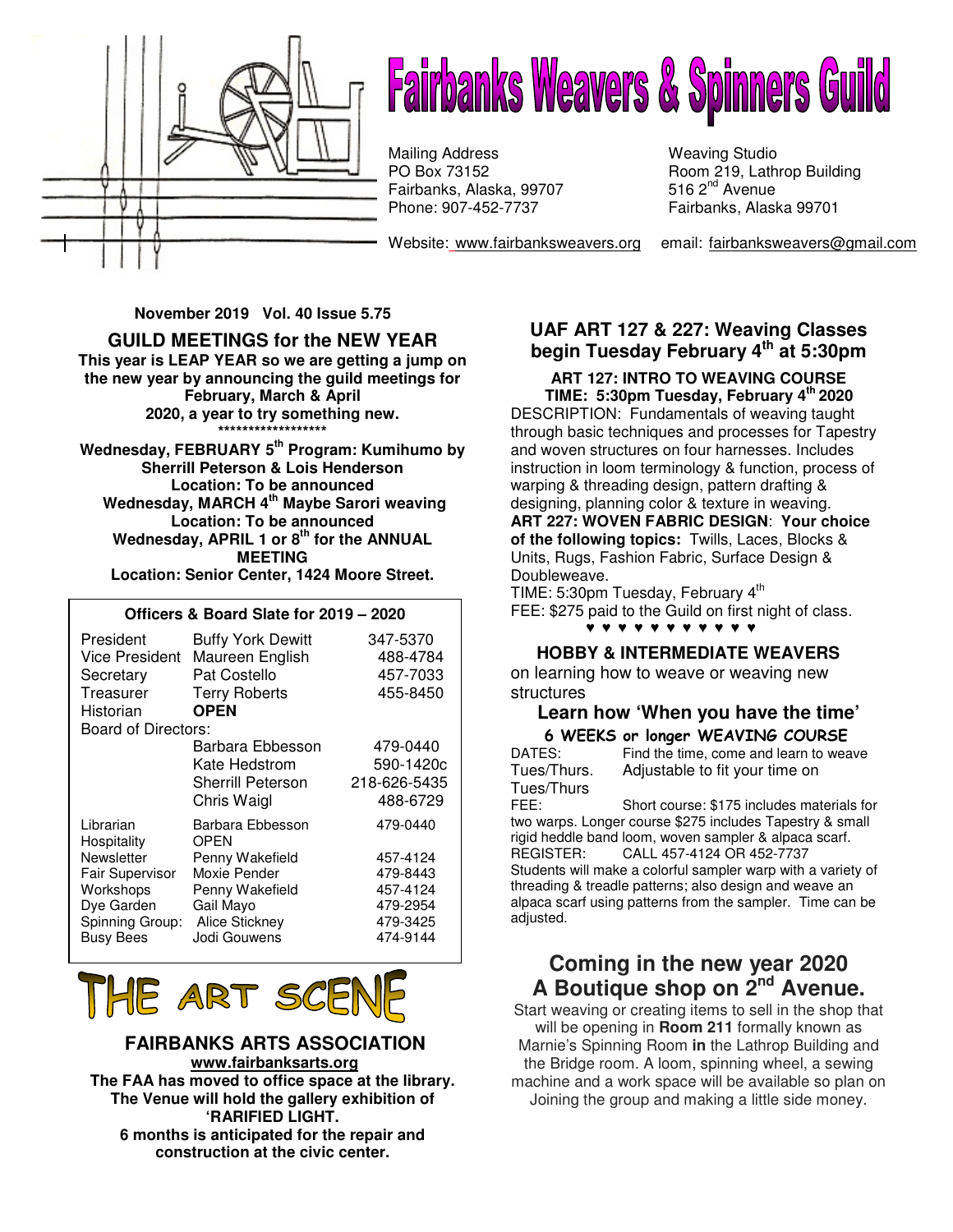

# **Fairbanks Weavers & Spinners Guild**

Fairbanks, Alaska, 99707 **516 2<sup>nd</sup> Avenue** Phone: 907-452-7737 Mailing Address Weaving Studio<br>
PO Box 73152 Room 219, Lath

Room 219, Lathrop Building 516  $2<sup>nd</sup>$  Avenue Fairbanks, Alaska 99701

Website: www.fairbanksweavers.org email: fairbanksweavers@gmail.com

 **November 2019 Vol. 40 Issue 5.75** 

### **GUILD MEETINGS for the NEW YEAR**

**This year is LEAP YEAR so we are getting a jump on the new year by announcing the guild meetings for February, March & April 2020, a year to try something new. \*\*\*\*\*\*\*\*\*\*\*\*\*\*\*\*\*\*** 

**Wednesday, FEBRUARY 5th Program: Kumihumo by Sherrill Peterson & Lois Henderson Location: To be announced Wednesday, MARCH 4th Maybe Sarori weaving Location: To be announced Wednesday, APRIL 1 or 8th for the ANNUAL MEETING Location: Senior Center, 1424 Moore Street.** 

#### **Officers & Board Slate for 2019 – 2020**

| President<br><b>Vice President</b><br>Secretary<br>Treasurer<br>Historian | <b>Buffy York Dewitt</b><br>Maureen English<br>Pat Costello<br><b>Terry Roberts</b><br><b>OPEN</b> | 347-5370<br>488-4784<br>457-7033<br>455-8450 |
|---------------------------------------------------------------------------|----------------------------------------------------------------------------------------------------|----------------------------------------------|
| Board of Directors:                                                       |                                                                                                    |                                              |
|                                                                           | Barbara Ebbesson                                                                                   | 479-0440                                     |
|                                                                           | Kate Hedstrom                                                                                      | 590-1420c                                    |
|                                                                           | <b>Sherrill Peterson</b>                                                                           | 218-626-5435                                 |
|                                                                           | Chris Waigl                                                                                        | 488-6729                                     |
| Librarian<br>Hospitality                                                  | Barbara Ebbesson<br>OPEN                                                                           | 479-0440                                     |
| Newsletter                                                                | Penny Wakefield                                                                                    | 457-4124                                     |
| Fair Supervisor                                                           | Moxie Pender                                                                                       | 479-8443                                     |
| Workshops                                                                 | Penny Wakefield                                                                                    | 457-4124                                     |
| Dye Garden                                                                | Gail Mayo                                                                                          | 479-2954                                     |
| Spinning Group:                                                           | Alice Stickney                                                                                     | 479-3425                                     |
| <b>Busy Bees</b>                                                          | Jodi Gouwens                                                                                       | 474-9144                                     |



 **FAIRBANKS ARTS ASSOCIATION www.fairbanksarts.org The FAA has moved to office space at the library. The Venue will hold the gallery exhibition of 'RARIFIED LIGHT. 6 months is anticipated for the repair and construction at the civic center.** 

### **UAF ART 127 & 227: Weaving Classes begin Tuesday February 4th at 5:30pm**

**ART 127: INTRO TO WEAVING COURSE TIME: 5:30pm Tuesday, February 4th 2020**  DESCRIPTION: Fundamentals of weaving taught through basic techniques and processes for Tapestry and woven structures on four harnesses. Includes instruction in loom terminology & function, process of warping & threading design, pattern drafting & designing, planning color & texture in weaving. **ART 227: WOVEN FABRIC DESIGN**: **Your choice of the following topics:** Twills, Laces, Blocks & Units, Rugs, Fashion Fabric, Surface Design & Doubleweave.

TIME: 5:30pm Tuesday, February 4<sup>th</sup> FEE: \$275 paid to the Guild on first night of class. ♥♥♥♥♥♥♥♥♥♥♥

#### **HOBBY & INTERMEDIATE WEAVERS**

on learning how to weave or weaving new structures

# **Learn how 'When you have the time'**

**6 WEEKS or longer WEAVING COURSE**<br>DATES: Find the time, come and learn to wea Find the time, come and learn to weave Tues/Thurs. Adjustable to fit your time on Tues/Thurs

FEE: Short course: \$175 includes materials for two warps. Longer course \$275 includes Tapestry & small rigid heddle band loom, woven sampler & alpaca scarf. REGISTER: CALL 457-4124 OR 452-7737 Students will make a colorful sampler warp with a variety of threading & treadle patterns; also design and weave an alpaca scarf using patterns from the sampler. Time can be adjusted.

## **Coming in the new year 2020 A Boutique shop on 2nd Avenue.**

Start weaving or creating items to sell in the shop that will be opening in **Room 211** formally known as Marnie's Spinning Room **in** the Lathrop Building and the Bridge room. A loom, spinning wheel, a sewing machine and a work space will be available so plan on Joining the group and making a little side money.